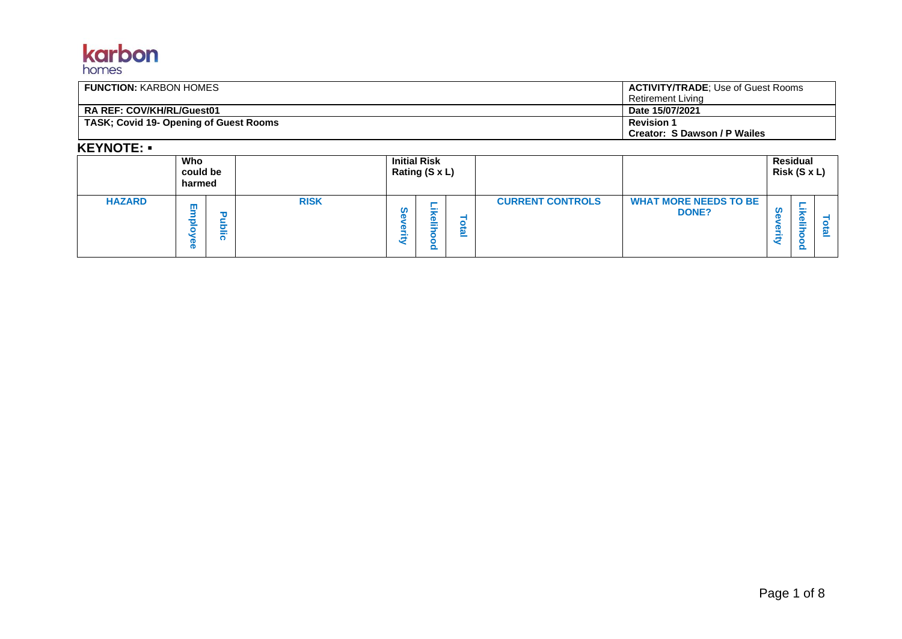# **karbon**

| <b>FUNCTION: KARBON HOMES</b>          | <b>ACTIVITY/TRADE:</b> Use of Guest Rooms<br>Retirement Livina |
|----------------------------------------|----------------------------------------------------------------|
| <b>RA REF: COV/KH/RL/Guest01</b>       | Date 15/07/2021                                                |
| TASK; Covid 19- Opening of Guest Rooms | <b>Revision 1</b><br>Creator: S Dawson / P Wailes              |

#### **KEYNOTE:** ▪

|               | Who<br>could be<br>harmed |                       | <b>Initial Risk</b><br>Rating (S x L) |        |             |        |                         | <b>Residual</b><br>Risk (S x L)              |             |  |
|---------------|---------------------------|-----------------------|---------------------------------------|--------|-------------|--------|-------------------------|----------------------------------------------|-------------|--|
| <b>HAZARD</b> | ш<br>œ                    | ╼<br>$\sim$<br>÷<br>w | <b>RISK</b>                           | S<br>J | $\sim$<br>I | ω<br>– | <b>CURRENT CONTROLS</b> | <b>WHAT MORE NEEDS TO BE</b><br><b>DONE?</b> | $\sim$<br>_ |  |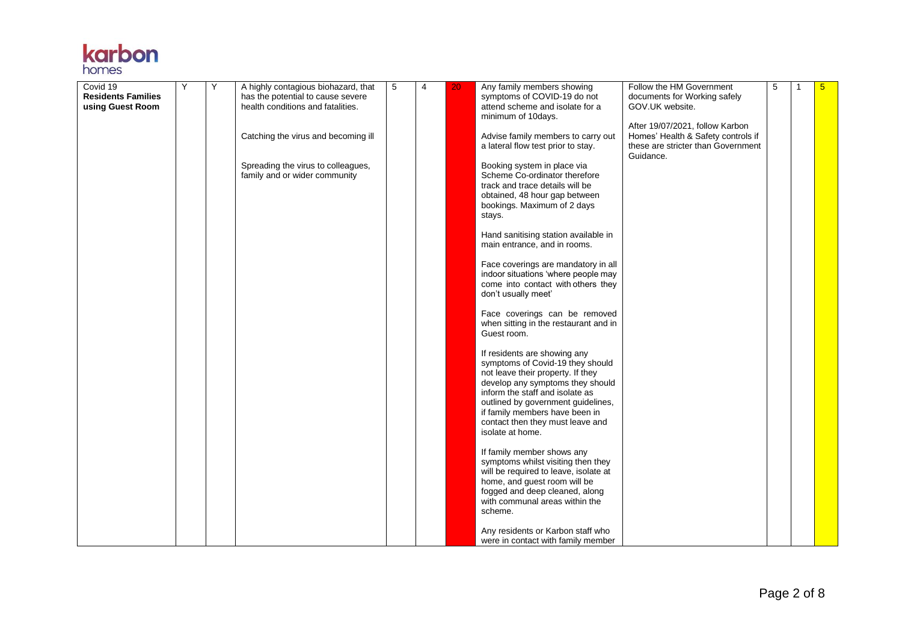

| Covid 19                  | Y | Y | A highly contagious biohazard, that | 5 | 4 | 20 | Any family members showing                                       | Follow the HM Government           | 5 | $5\phantom{1}$ |
|---------------------------|---|---|-------------------------------------|---|---|----|------------------------------------------------------------------|------------------------------------|---|----------------|
| <b>Residents Families</b> |   |   | has the potential to cause severe   |   |   |    | symptoms of COVID-19 do not                                      | documents for Working safely       |   |                |
| using Guest Room          |   |   | health conditions and fatalities.   |   |   |    | attend scheme and isolate for a                                  | GOV.UK website.                    |   |                |
|                           |   |   |                                     |   |   |    | minimum of 10days.                                               |                                    |   |                |
|                           |   |   |                                     |   |   |    |                                                                  | After 19/07/2021, follow Karbon    |   |                |
|                           |   |   | Catching the virus and becoming ill |   |   |    | Advise family members to carry out                               | Homes' Health & Safety controls if |   |                |
|                           |   |   |                                     |   |   |    | a lateral flow test prior to stay.                               | these are stricter than Government |   |                |
|                           |   |   |                                     |   |   |    |                                                                  | Guidance.                          |   |                |
|                           |   |   | Spreading the virus to colleagues,  |   |   |    | Booking system in place via                                      |                                    |   |                |
|                           |   |   | family and or wider community       |   |   |    | Scheme Co-ordinator therefore                                    |                                    |   |                |
|                           |   |   |                                     |   |   |    | track and trace details will be                                  |                                    |   |                |
|                           |   |   |                                     |   |   |    | obtained, 48 hour gap between                                    |                                    |   |                |
|                           |   |   |                                     |   |   |    | bookings. Maximum of 2 days                                      |                                    |   |                |
|                           |   |   |                                     |   |   |    | stays.                                                           |                                    |   |                |
|                           |   |   |                                     |   |   |    |                                                                  |                                    |   |                |
|                           |   |   |                                     |   |   |    | Hand sanitising station available in                             |                                    |   |                |
|                           |   |   |                                     |   |   |    | main entrance, and in rooms.                                     |                                    |   |                |
|                           |   |   |                                     |   |   |    | Face coverings are mandatory in all                              |                                    |   |                |
|                           |   |   |                                     |   |   |    | indoor situations 'where people may                              |                                    |   |                |
|                           |   |   |                                     |   |   |    | come into contact with others they                               |                                    |   |                |
|                           |   |   |                                     |   |   |    | don't usually meet'                                              |                                    |   |                |
|                           |   |   |                                     |   |   |    |                                                                  |                                    |   |                |
|                           |   |   |                                     |   |   |    | Face coverings can be removed                                    |                                    |   |                |
|                           |   |   |                                     |   |   |    | when sitting in the restaurant and in                            |                                    |   |                |
|                           |   |   |                                     |   |   |    | Guest room.                                                      |                                    |   |                |
|                           |   |   |                                     |   |   |    |                                                                  |                                    |   |                |
|                           |   |   |                                     |   |   |    | If residents are showing any                                     |                                    |   |                |
|                           |   |   |                                     |   |   |    | symptoms of Covid-19 they should                                 |                                    |   |                |
|                           |   |   |                                     |   |   |    | not leave their property. If they                                |                                    |   |                |
|                           |   |   |                                     |   |   |    | develop any symptoms they should                                 |                                    |   |                |
|                           |   |   |                                     |   |   |    | inform the staff and isolate as                                  |                                    |   |                |
|                           |   |   |                                     |   |   |    | outlined by government guidelines,                               |                                    |   |                |
|                           |   |   |                                     |   |   |    | if family members have been in                                   |                                    |   |                |
|                           |   |   |                                     |   |   |    | contact then they must leave and                                 |                                    |   |                |
|                           |   |   |                                     |   |   |    | isolate at home.                                                 |                                    |   |                |
|                           |   |   |                                     |   |   |    |                                                                  |                                    |   |                |
|                           |   |   |                                     |   |   |    | If family member shows any                                       |                                    |   |                |
|                           |   |   |                                     |   |   |    | symptoms whilst visiting then they                               |                                    |   |                |
|                           |   |   |                                     |   |   |    | will be required to leave, isolate at                            |                                    |   |                |
|                           |   |   |                                     |   |   |    | home, and guest room will be                                     |                                    |   |                |
|                           |   |   |                                     |   |   |    | fogged and deep cleaned, along<br>with communal areas within the |                                    |   |                |
|                           |   |   |                                     |   |   |    | scheme.                                                          |                                    |   |                |
|                           |   |   |                                     |   |   |    |                                                                  |                                    |   |                |
|                           |   |   |                                     |   |   |    | Any residents or Karbon staff who                                |                                    |   |                |
|                           |   |   |                                     |   |   |    | were in contact with family member                               |                                    |   |                |
|                           |   |   |                                     |   |   |    |                                                                  |                                    |   |                |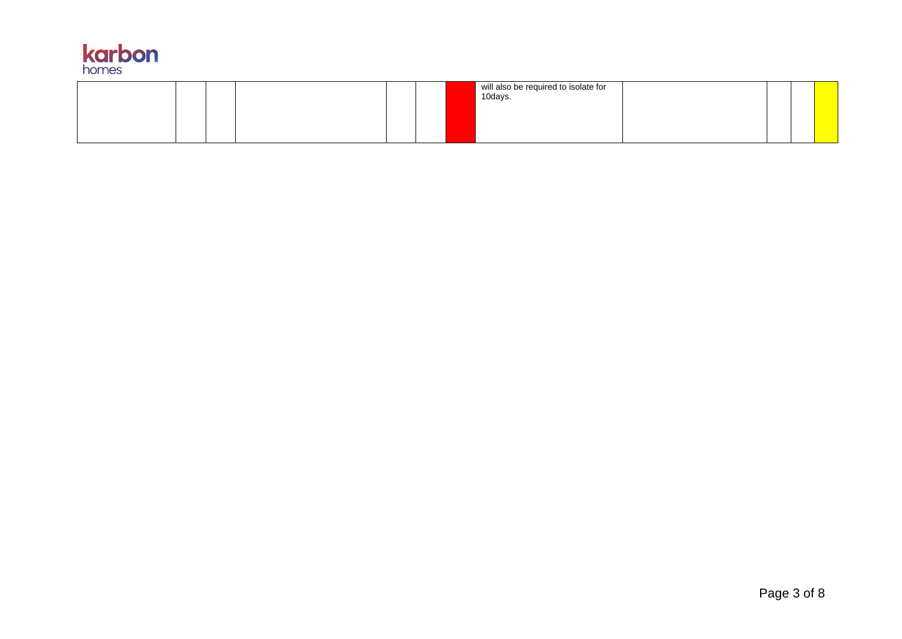

|  | will also be required to isolate for<br>10days. |  |  |
|--|-------------------------------------------------|--|--|
|  |                                                 |  |  |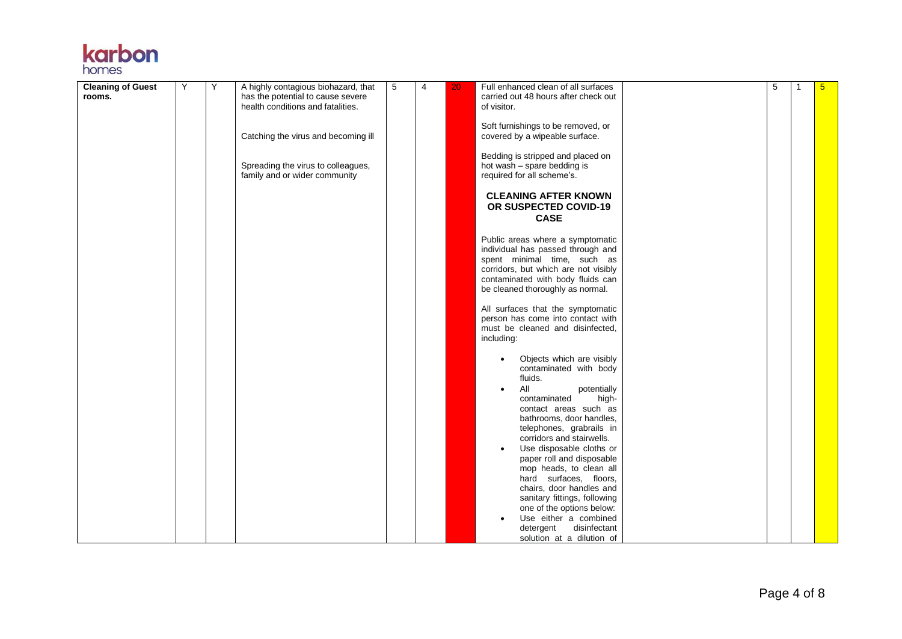# **karbon**

| <b>Cleaning of Guest</b> | Υ | Y | A highly contagious biohazard, that | 5 | 4 | 20 | Full enhanced clean of all surfaces    | 5 | 5 <sup>5</sup> |
|--------------------------|---|---|-------------------------------------|---|---|----|----------------------------------------|---|----------------|
| rooms.                   |   |   | has the potential to cause severe   |   |   |    | carried out 48 hours after check out   |   |                |
|                          |   |   | health conditions and fatalities.   |   |   |    | of visitor.                            |   |                |
|                          |   |   |                                     |   |   |    |                                        |   |                |
|                          |   |   |                                     |   |   |    | Soft furnishings to be removed, or     |   |                |
|                          |   |   | Catching the virus and becoming ill |   |   |    | covered by a wipeable surface.         |   |                |
|                          |   |   |                                     |   |   |    |                                        |   |                |
|                          |   |   |                                     |   |   |    |                                        |   |                |
|                          |   |   |                                     |   |   |    | Bedding is stripped and placed on      |   |                |
|                          |   |   | Spreading the virus to colleagues,  |   |   |    | hot wash - spare bedding is            |   |                |
|                          |   |   | family and or wider community       |   |   |    | required for all scheme's.             |   |                |
|                          |   |   |                                     |   |   |    |                                        |   |                |
|                          |   |   |                                     |   |   |    | <b>CLEANING AFTER KNOWN</b>            |   |                |
|                          |   |   |                                     |   |   |    | OR SUSPECTED COVID-19                  |   |                |
|                          |   |   |                                     |   |   |    | <b>CASE</b>                            |   |                |
|                          |   |   |                                     |   |   |    |                                        |   |                |
|                          |   |   |                                     |   |   |    |                                        |   |                |
|                          |   |   |                                     |   |   |    | Public areas where a symptomatic       |   |                |
|                          |   |   |                                     |   |   |    | individual has passed through and      |   |                |
|                          |   |   |                                     |   |   |    | spent minimal time, such as            |   |                |
|                          |   |   |                                     |   |   |    | corridors, but which are not visibly   |   |                |
|                          |   |   |                                     |   |   |    | contaminated with body fluids can      |   |                |
|                          |   |   |                                     |   |   |    | be cleaned thoroughly as normal.       |   |                |
|                          |   |   |                                     |   |   |    |                                        |   |                |
|                          |   |   |                                     |   |   |    | All surfaces that the symptomatic      |   |                |
|                          |   |   |                                     |   |   |    | person has come into contact with      |   |                |
|                          |   |   |                                     |   |   |    | must be cleaned and disinfected.       |   |                |
|                          |   |   |                                     |   |   |    | including:                             |   |                |
|                          |   |   |                                     |   |   |    |                                        |   |                |
|                          |   |   |                                     |   |   |    | Objects which are visibly<br>$\bullet$ |   |                |
|                          |   |   |                                     |   |   |    | contaminated with body                 |   |                |
|                          |   |   |                                     |   |   |    | fluids.                                |   |                |
|                          |   |   |                                     |   |   |    | All<br>$\bullet$                       |   |                |
|                          |   |   |                                     |   |   |    | potentially<br>contaminated            |   |                |
|                          |   |   |                                     |   |   |    | high-                                  |   |                |
|                          |   |   |                                     |   |   |    | contact areas such as                  |   |                |
|                          |   |   |                                     |   |   |    | bathrooms, door handles,               |   |                |
|                          |   |   |                                     |   |   |    | telephones, grabrails in               |   |                |
|                          |   |   |                                     |   |   |    | corridors and stairwells.              |   |                |
|                          |   |   |                                     |   |   |    | Use disposable cloths or               |   |                |
|                          |   |   |                                     |   |   |    | paper roll and disposable              |   |                |
|                          |   |   |                                     |   |   |    | mop heads, to clean all                |   |                |
|                          |   |   |                                     |   |   |    | hard surfaces, floors,                 |   |                |
|                          |   |   |                                     |   |   |    | chairs, door handles and               |   |                |
|                          |   |   |                                     |   |   |    | sanitary fittings, following           |   |                |
|                          |   |   |                                     |   |   |    | one of the options below:              |   |                |
|                          |   |   |                                     |   |   |    | Use either a combined                  |   |                |
|                          |   |   |                                     |   |   |    | detergent<br>disinfectant              |   |                |
|                          |   |   |                                     |   |   |    |                                        |   |                |
|                          |   |   |                                     |   |   |    | solution at a dilution of              |   |                |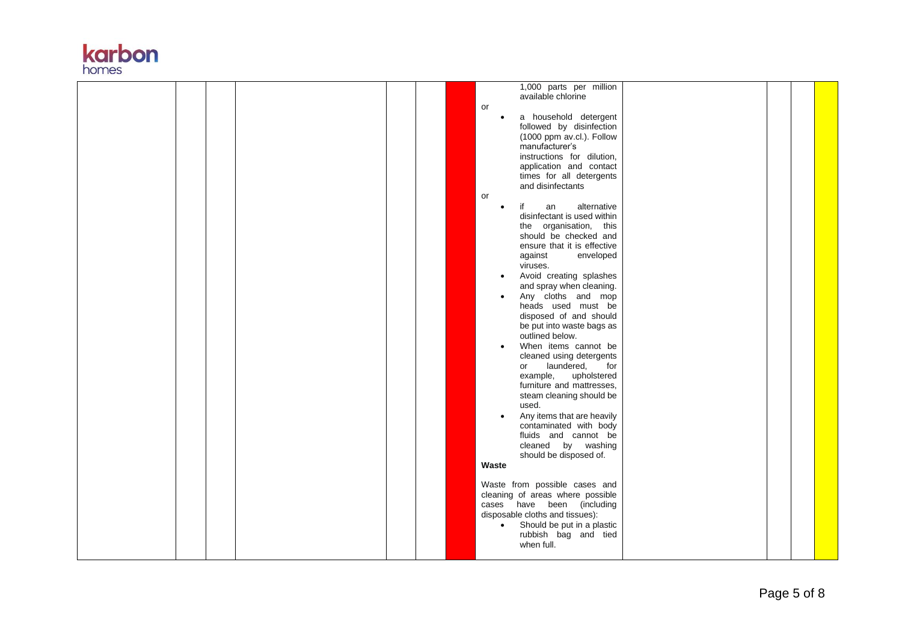

| 1,000 parts per million                 |  |
|-----------------------------------------|--|
| available chlorine                      |  |
| or                                      |  |
| a household detergent                   |  |
| followed by disinfection                |  |
|                                         |  |
| (1000 ppm av.cl.). Follow               |  |
| manufacturer's                          |  |
| instructions for dilution,              |  |
| application and contact                 |  |
| times for all detergents                |  |
| and disinfectants                       |  |
| or                                      |  |
| alternative<br>an<br>if                 |  |
| disinfectant is used within             |  |
| the organisation, this                  |  |
| should be checked and                   |  |
| ensure that it is effective             |  |
| against<br>enveloped                    |  |
| viruses.                                |  |
| Avoid creating splashes                 |  |
| and spray when cleaning.                |  |
|                                         |  |
| Any cloths and mop                      |  |
| heads used must be                      |  |
| disposed of and should                  |  |
| be put into waste bags as               |  |
| outlined below.                         |  |
| When items cannot be                    |  |
| cleaned using detergents                |  |
| laundered,<br>for<br>or                 |  |
| example,<br>upholstered                 |  |
| furniture and mattresses,               |  |
| steam cleaning should be                |  |
| used.                                   |  |
| Any items that are heavily              |  |
| contaminated with body                  |  |
| fluids and cannot be                    |  |
| cleaned by washing                      |  |
| should be disposed of.                  |  |
| Waste                                   |  |
|                                         |  |
|                                         |  |
| Waste from possible cases and           |  |
| cleaning of areas where possible        |  |
| cases have been (including              |  |
| disposable cloths and tissues):         |  |
| Should be put in a plastic<br>$\bullet$ |  |
| rubbish bag and tied                    |  |
| when full.                              |  |
|                                         |  |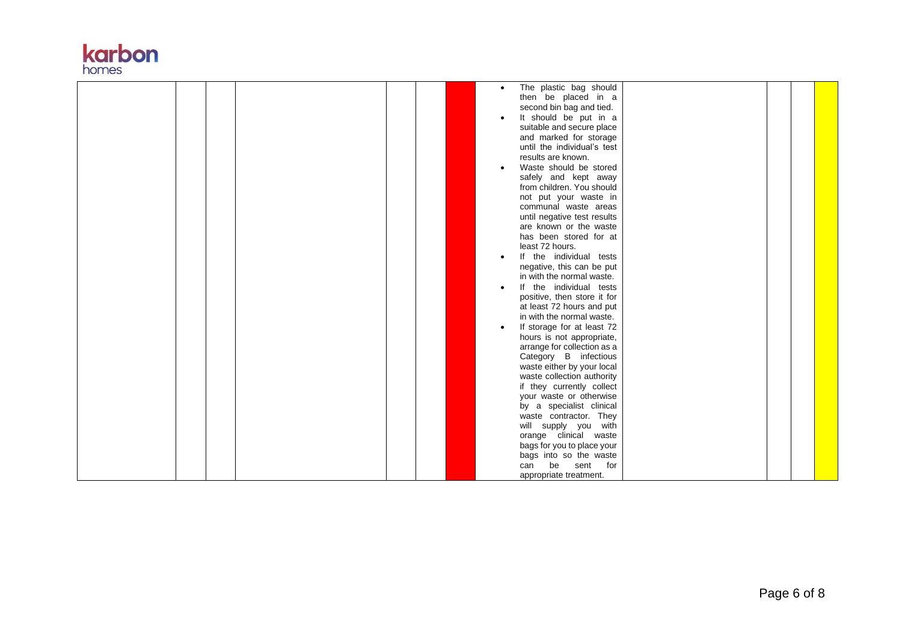

|  | The plastic bag should      |
|--|-----------------------------|
|  | then be placed in a         |
|  | second bin bag and tied.    |
|  | It should be put in a       |
|  | suitable and secure place   |
|  | and marked for storage      |
|  | until the individual's test |
|  | results are known.          |
|  |                             |
|  | Waste should be stored      |
|  | safely and kept away        |
|  | from children. You should   |
|  | not put your waste in       |
|  | communal waste areas        |
|  | until negative test results |
|  | are known or the waste      |
|  | has been stored for at      |
|  | least 72 hours.             |
|  | If the individual tests     |
|  | negative, this can be put   |
|  | in with the normal waste.   |
|  |                             |
|  | If the individual tests     |
|  | positive, then store it for |
|  | at least 72 hours and put   |
|  | in with the normal waste.   |
|  | If storage for at least 72  |
|  | hours is not appropriate,   |
|  | arrange for collection as a |
|  | Category B infectious       |
|  | waste either by your local  |
|  | waste collection authority  |
|  | if they currently collect   |
|  | your waste or otherwise     |
|  | by a specialist clinical    |
|  | waste contractor. They      |
|  | will supply you with        |
|  | orange clinical waste       |
|  |                             |
|  | bags for you to place your  |
|  | bags into so the waste      |
|  | be<br>sent<br>can<br>for    |
|  | appropriate treatment.      |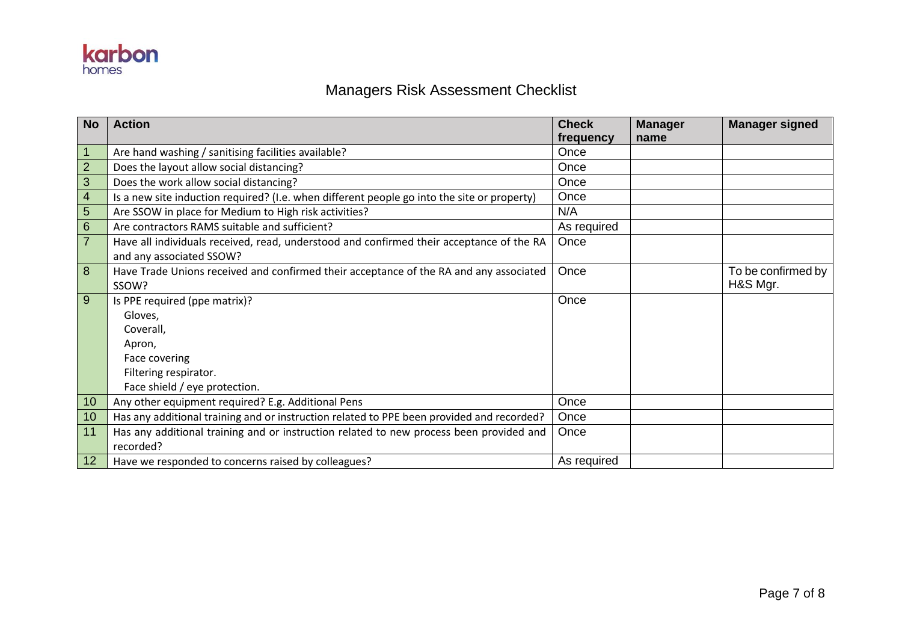

### Managers Risk Assessment Checklist

| <b>No</b>      | <b>Action</b>                                                                               | <b>Check</b> | <b>Manager</b> | <b>Manager signed</b> |
|----------------|---------------------------------------------------------------------------------------------|--------------|----------------|-----------------------|
|                |                                                                                             | frequency    | name           |                       |
| $\mathbf{1}$   | Are hand washing / sanitising facilities available?                                         | Once         |                |                       |
| $\overline{2}$ | Does the layout allow social distancing?                                                    | Once         |                |                       |
| 3              | Does the work allow social distancing?                                                      | Once         |                |                       |
| $\overline{4}$ | Is a new site induction required? (I.e. when different people go into the site or property) | Once         |                |                       |
| 5              | Are SSOW in place for Medium to High risk activities?                                       | N/A          |                |                       |
| $\,6\,$        | Are contractors RAMS suitable and sufficient?                                               | As required  |                |                       |
| $\overline{7}$ | Have all individuals received, read, understood and confirmed their acceptance of the RA    | Once         |                |                       |
|                | and any associated SSOW?                                                                    |              |                |                       |
| 8              | Have Trade Unions received and confirmed their acceptance of the RA and any associated      | Once         |                | To be confirmed by    |
|                | SSOW?                                                                                       |              |                | H&S Mgr.              |
| 9              | Is PPE required (ppe matrix)?                                                               | Once         |                |                       |
|                | Gloves,                                                                                     |              |                |                       |
|                | Coverall.                                                                                   |              |                |                       |
|                | Apron,                                                                                      |              |                |                       |
|                | Face covering                                                                               |              |                |                       |
|                | Filtering respirator.                                                                       |              |                |                       |
|                | Face shield / eye protection.                                                               |              |                |                       |
| 10             | Any other equipment required? E.g. Additional Pens                                          | Once         |                |                       |
| 10             | Has any additional training and or instruction related to PPE been provided and recorded?   | Once         |                |                       |
| 11             | Has any additional training and or instruction related to new process been provided and     | Once         |                |                       |
|                | recorded?                                                                                   |              |                |                       |
| 12             | Have we responded to concerns raised by colleagues?                                         | As required  |                |                       |